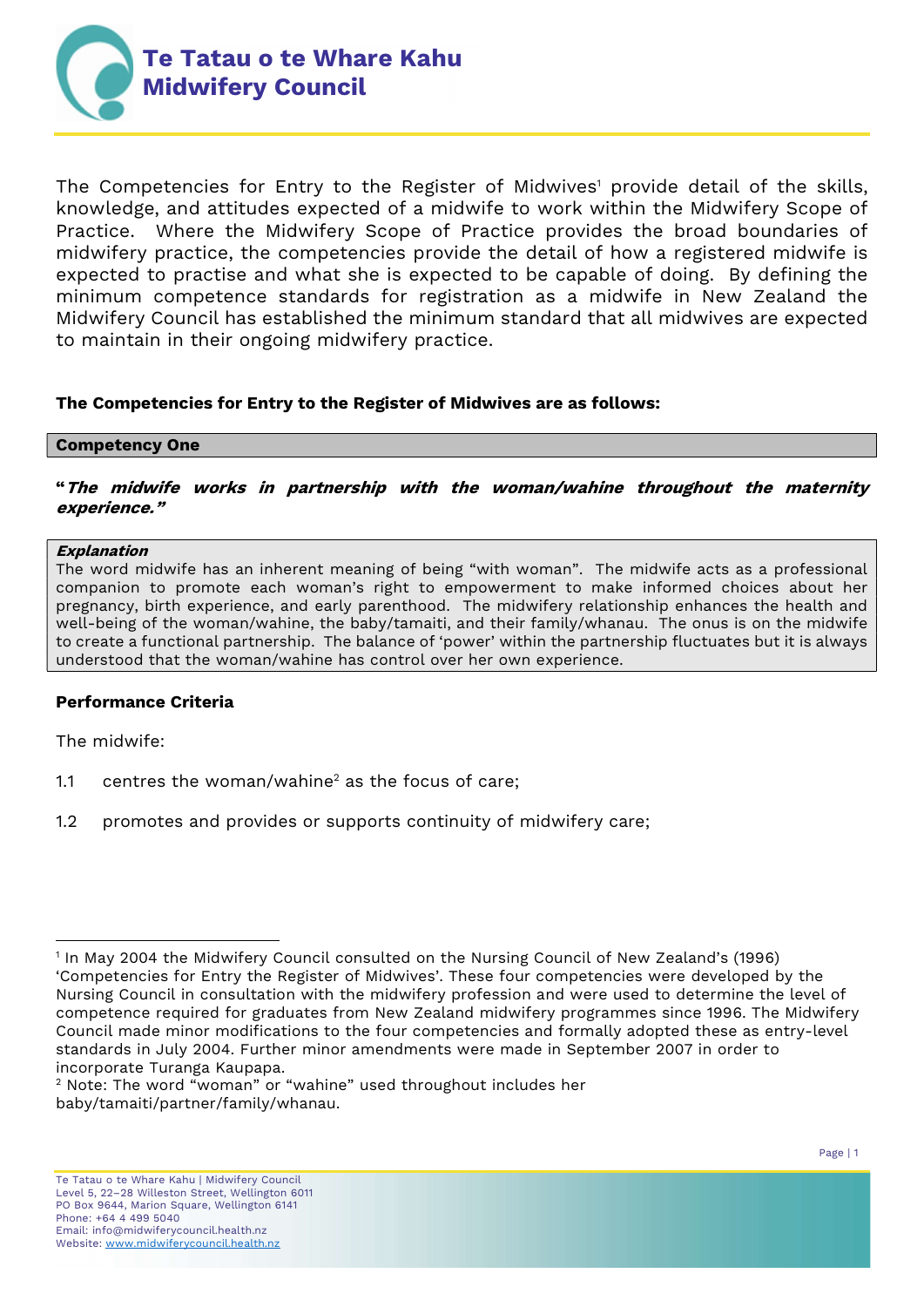

The Competencies for Entry to the Register of Midwives<sup>1</sup> provide detail of the skills, knowledge, and attitudes expected of a midwife to work within the Midwifery Scope of Practice. Where the Midwifery Scope of Practice provides the broad boundaries of midwifery practice, the competencies provide the detail of how a registered midwife is expected to practise and what she is expected to be capable of doing. By defining the minimum competence standards for registration as a midwife in New Zealand the Midwifery Council has established the minimum standard that all midwives are expected to maintain in their ongoing midwifery practice.

## The Competencies for Entry to the Register of Midwives are as follows:

### Competency One

"The midwife works in partnership with the woman/wahine throughout the maternity experience."

#### Explanation

The word midwife has an inherent meaning of being "with woman". The midwife acts as a professional companion to promote each woman's right to empowerment to make informed choices about her pregnancy, birth experience, and early parenthood. The midwifery relationship enhances the health and well-being of the woman/wahine, the baby/tamaiti, and their family/whanau. The onus is on the midwife to create a functional partnership. The balance of 'power' within the partnership fluctuates but it is always understood that the woman/wahine has control over her own experience.

### Performance Criteria

The midwife:

- 1.1 centres the woman/wahine<sup>2</sup> as the focus of care;
- 1.2 promotes and provides or supports continuity of midwifery care;

<sup>1</sup> In May 2004 the Midwifery Council consulted on the Nursing Council of New Zealand's (1996) 'Competencies for Entry the Register of Midwives'. These four competencies were developed by the Nursing Council in consultation with the midwifery profession and were used to determine the level of competence required for graduates from New Zealand midwifery programmes since 1996. The Midwifery Council made minor modifications to the four competencies and formally adopted these as entry-level standards in July 2004. Further minor amendments were made in September 2007 in order to incorporate Turanga Kaupapa.

<sup>2</sup> Note: The word "woman" or "wahine" used throughout includes her baby/tamaiti/partner/family/whanau.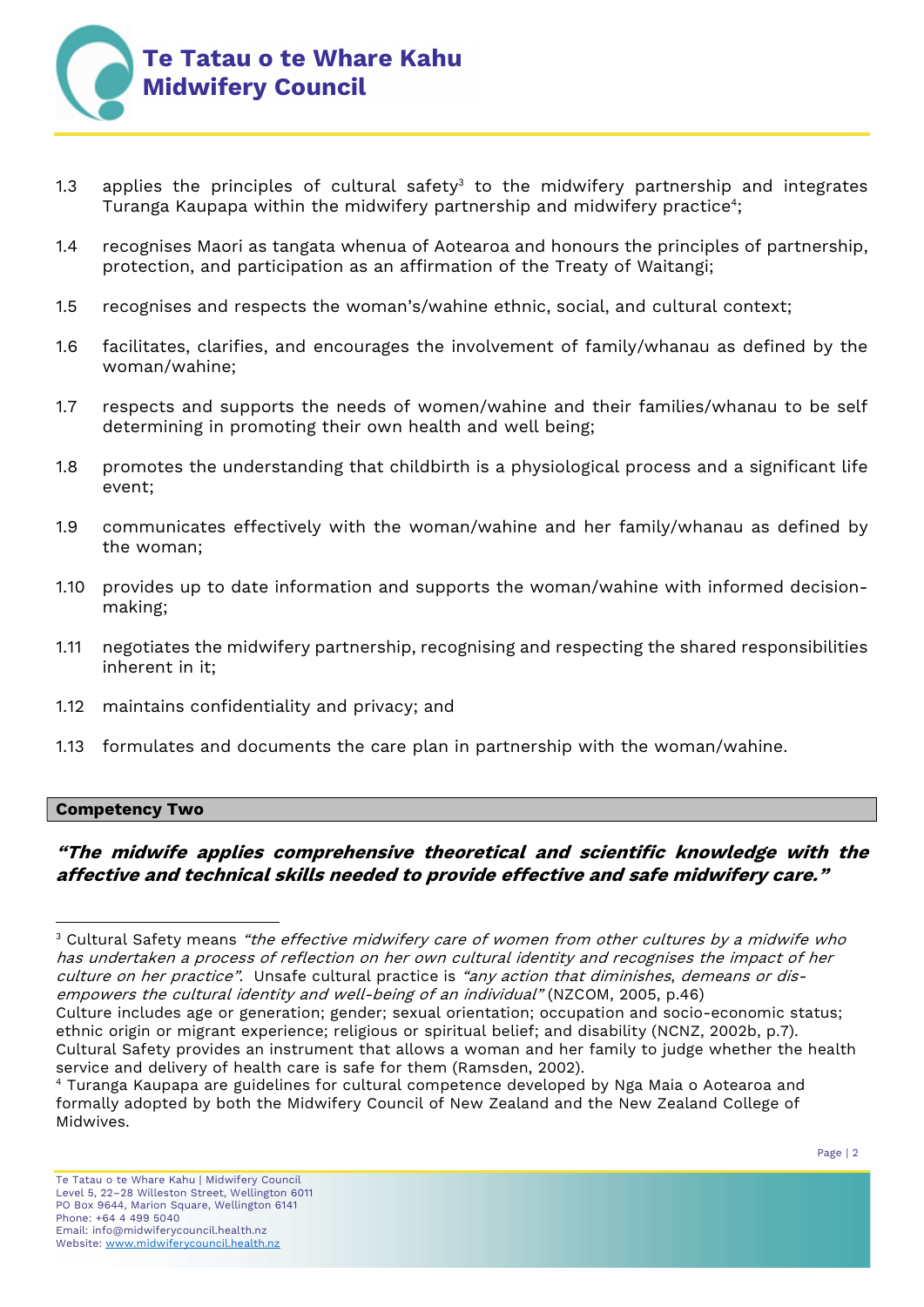

- 1.3 applies the principles of cultural safety<sup>3</sup> to the midwifery partnership and integrates Turanga Kaupapa within the midwifery partnership and midwifery practice<sup>4</sup>;
- 1.4 recognises Maori as tangata whenua of Aotearoa and honours the principles of partnership, protection, and participation as an affirmation of the Treaty of Waitangi;
- 1.5 recognises and respects the woman's/wahine ethnic, social, and cultural context;
- 1.6 facilitates, clarifies, and encourages the involvement of family/whanau as defined by the woman/wahine;
- 1.7 respects and supports the needs of women/wahine and their families/whanau to be self determining in promoting their own health and well being;
- 1.8 promotes the understanding that childbirth is a physiological process and a significant life event;
- 1.9 communicates effectively with the woman/wahine and her family/whanau as defined by the woman;
- 1.10 provides up to date information and supports the woman/wahine with informed decisionmaking;
- 1.11 negotiates the midwifery partnership, recognising and respecting the shared responsibilities inherent in it;
- 1.12 maintains confidentiality and privacy; and
- 1.13 formulates and documents the care plan in partnership with the woman/wahine.

### Competency Two

# "The midwife applies comprehensive theoretical and scientific knowledge with the affective and technical skills needed to provide effective and safe midwifery care."

 $\,3$  Cultural Safety means *"the effective midwifery care of women from other cultures by a midwife who* has undertaken a process of reflection on her own cultural identity and recognises the impact of her culture on her practice". Unsafe cultural practice is "any action that diminishes, demeans or disempowers the cultural identity and well-being of an individual" (NZCOM, 2005, p.46)

Culture includes age or generation; gender; sexual orientation; occupation and socio-economic status; ethnic origin or migrant experience; religious or spiritual belief; and disability (NCNZ, 2002b, p.7). Cultural Safety provides an instrument that allows a woman and her family to judge whether the health service and delivery of health care is safe for them (Ramsden, 2002).

<sup>4</sup> Turanga Kaupapa are guidelines for cultural competence developed by Nga Maia o Aotearoa and formally adopted by both the Midwifery Council of New Zealand and the New Zealand College of Midwives.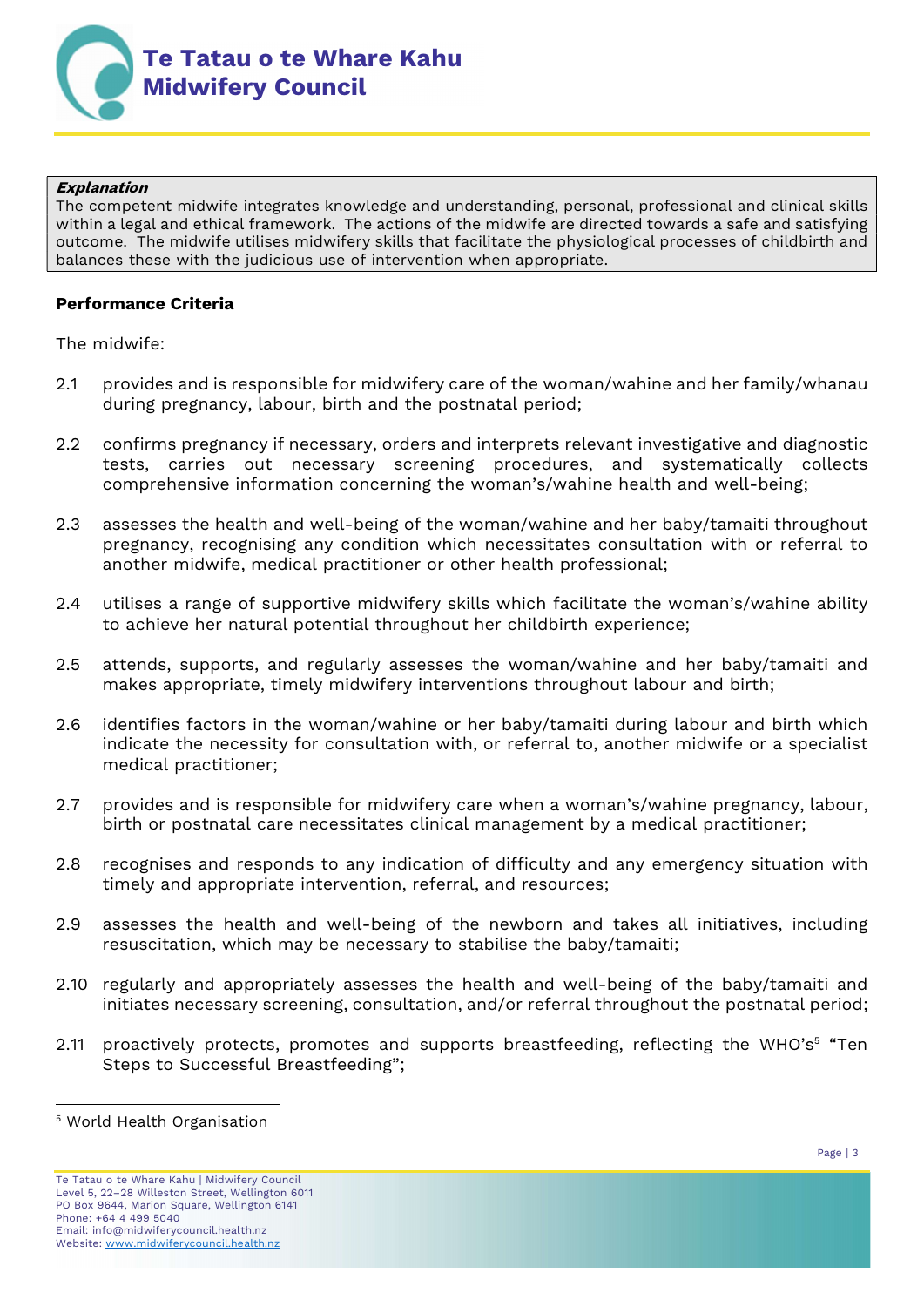

#### Explanation

The competent midwife integrates knowledge and understanding, personal, professional and clinical skills within a legal and ethical framework. The actions of the midwife are directed towards a safe and satisfying outcome. The midwife utilises midwifery skills that facilitate the physiological processes of childbirth and balances these with the judicious use of intervention when appropriate.

## Performance Criteria

The midwife:

- 2.1 provides and is responsible for midwifery care of the woman/wahine and her family/whanau during pregnancy, labour, birth and the postnatal period;
- 2.2 confirms pregnancy if necessary, orders and interprets relevant investigative and diagnostic tests, carries out necessary screening procedures, and systematically collects comprehensive information concerning the woman's/wahine health and well-being;
- 2.3 assesses the health and well-being of the woman/wahine and her baby/tamaiti throughout pregnancy, recognising any condition which necessitates consultation with or referral to another midwife, medical practitioner or other health professional;
- 2.4 utilises a range of supportive midwifery skills which facilitate the woman's/wahine ability to achieve her natural potential throughout her childbirth experience;
- 2.5 attends, supports, and regularly assesses the woman/wahine and her baby/tamaiti and makes appropriate, timely midwifery interventions throughout labour and birth;
- 2.6 identifies factors in the woman/wahine or her baby/tamaiti during labour and birth which indicate the necessity for consultation with, or referral to, another midwife or a specialist medical practitioner;
- 2.7 provides and is responsible for midwifery care when a woman's/wahine pregnancy, labour, birth or postnatal care necessitates clinical management by a medical practitioner;
- 2.8 recognises and responds to any indication of difficulty and any emergency situation with timely and appropriate intervention, referral, and resources;
- 2.9 assesses the health and well-being of the newborn and takes all initiatives, including resuscitation, which may be necessary to stabilise the baby/tamaiti;
- 2.10 regularly and appropriately assesses the health and well-being of the baby/tamaiti and initiates necessary screening, consultation, and/or referral throughout the postnatal period;
- 2.11 proactively protects, promotes and supports breastfeeding, reflecting the WHO's<sup>5</sup> "Ten Steps to Successful Breastfeeding";

<sup>5</sup> World Health Organisation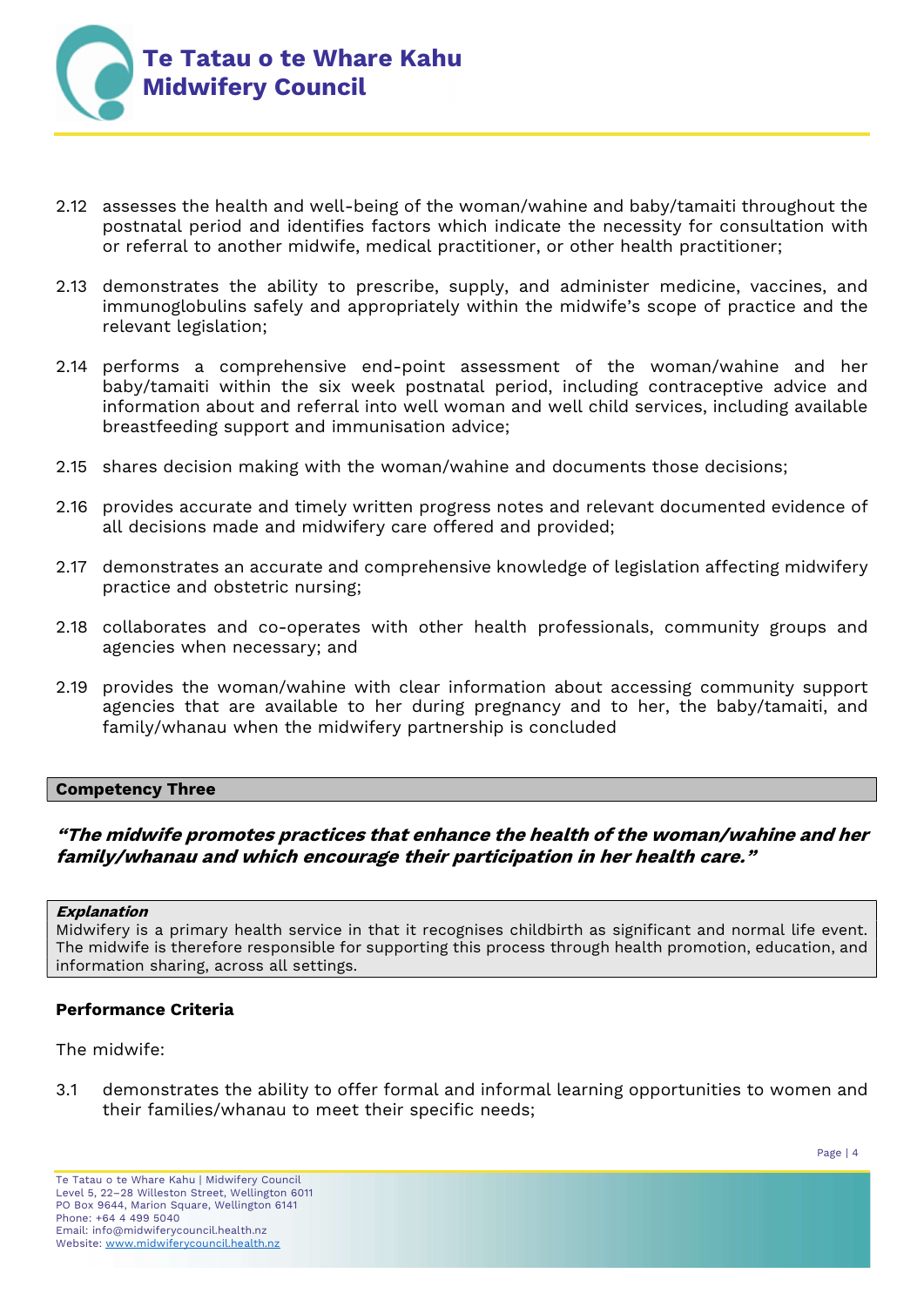

- 2.12 assesses the health and well-being of the woman/wahine and baby/tamaiti throughout the postnatal period and identifies factors which indicate the necessity for consultation with or referral to another midwife, medical practitioner, or other health practitioner;
- 2.13 demonstrates the ability to prescribe, supply, and administer medicine, vaccines, and immunoglobulins safely and appropriately within the midwife's scope of practice and the relevant legislation;
- 2.14 performs a comprehensive end-point assessment of the woman/wahine and her baby/tamaiti within the six week postnatal period, including contraceptive advice and information about and referral into well woman and well child services, including available breastfeeding support and immunisation advice;
- 2.15 shares decision making with the woman/wahine and documents those decisions;
- 2.16 provides accurate and timely written progress notes and relevant documented evidence of all decisions made and midwifery care offered and provided;
- 2.17 demonstrates an accurate and comprehensive knowledge of legislation affecting midwifery practice and obstetric nursing;
- 2.18 collaborates and co-operates with other health professionals, community groups and agencies when necessary; and
- 2.19 provides the woman/wahine with clear information about accessing community support agencies that are available to her during pregnancy and to her, the baby/tamaiti, and family/whanau when the midwifery partnership is concluded

### Competency Three

## "The midwife promotes practices that enhance the health of the woman/wahine and her family/whanau and which encourage their participation in her health care."

#### Explanation

Midwifery is a primary health service in that it recognises childbirth as significant and normal life event. The midwife is therefore responsible for supporting this process through health promotion, education, and information sharing, across all settings.

### Performance Criteria

The midwife:

3.1 demonstrates the ability to offer formal and informal learning opportunities to women and their families/whanau to meet their specific needs;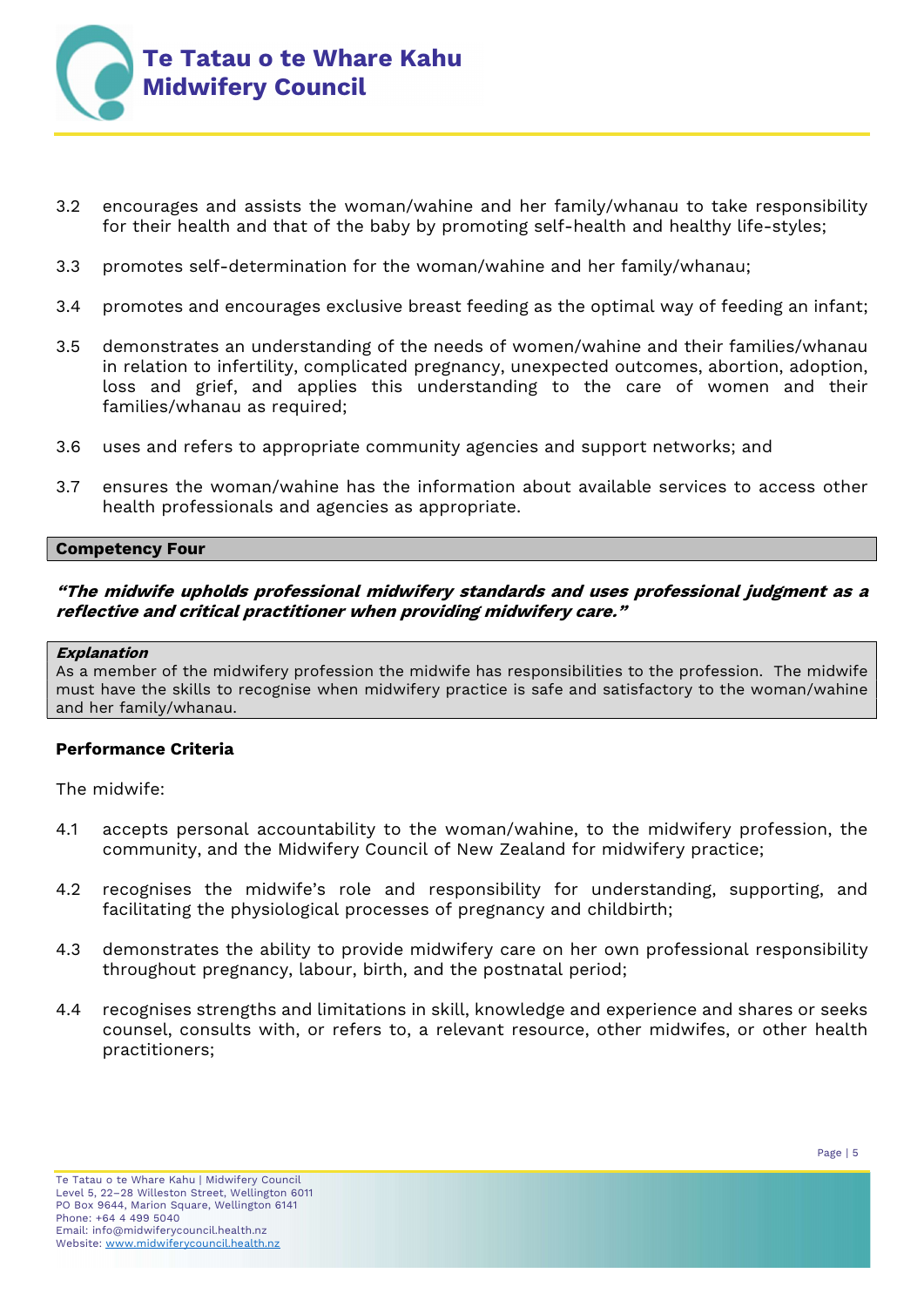

- 3.2 encourages and assists the woman/wahine and her family/whanau to take responsibility for their health and that of the baby by promoting self-health and healthy life-styles;
- 3.3 promotes self-determination for the woman/wahine and her family/whanau;
- 3.4 promotes and encourages exclusive breast feeding as the optimal way of feeding an infant;
- 3.5 demonstrates an understanding of the needs of women/wahine and their families/whanau in relation to infertility, complicated pregnancy, unexpected outcomes, abortion, adoption, loss and grief, and applies this understanding to the care of women and their families/whanau as required;
- 3.6 uses and refers to appropriate community agencies and support networks; and
- 3.7 ensures the woman/wahine has the information about available services to access other health professionals and agencies as appropriate.

#### Competency Four

## "The midwife upholds professional midwifery standards and uses professional judgment as a reflective and critical practitioner when providing midwifery care."

#### Explanation

As a member of the midwifery profession the midwife has responsibilities to the profession. The midwife must have the skills to recognise when midwifery practice is safe and satisfactory to the woman/wahine and her family/whanau.

### Performance Criteria

The midwife:

- 4.1 accepts personal accountability to the woman/wahine, to the midwifery profession, the community, and the Midwifery Council of New Zealand for midwifery practice;
- 4.2 recognises the midwife's role and responsibility for understanding, supporting, and facilitating the physiological processes of pregnancy and childbirth;
- 4.3 demonstrates the ability to provide midwifery care on her own professional responsibility throughout pregnancy, labour, birth, and the postnatal period;
- 4.4 recognises strengths and limitations in skill, knowledge and experience and shares or seeks counsel, consults with, or refers to, a relevant resource, other midwifes, or other health practitioners;